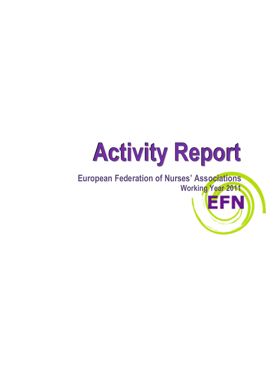# **Activity Report**

**European Federation of Nurses' Associations Working Year 2011**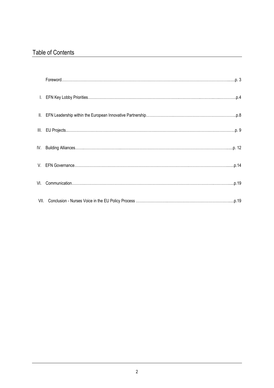# Table of Contents

| $\mathbf{L}$ |  |
|--------------|--|
| II.          |  |
| III.         |  |
| IV.          |  |
| V.           |  |
| VI.          |  |
|              |  |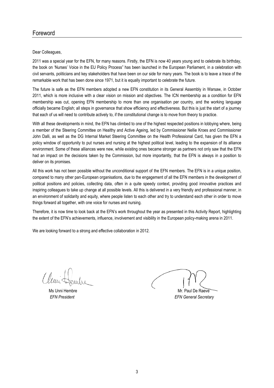### Foreword

Dear Colleagues,

2011 was a special year for the EFN, for many reasons. Firstly, the EFN is now 40 years young and to celebrate its birthday, the book on 'Nurses' Voice in the EU Policy Process" has been launched in the European Parliament, in a celebration with civil servants, politicians and key stakeholders that have been on our side for many years. The book is to leave a trace of the remarkable work that has been done since 1971, but it is equally important to celebrate the future.

The future is safe as the EFN members adopted a new EFN constitution in its General Assembly in Warsaw, in October 2011, which is more inclusive with a clear vision on mission and objectives. The ICN membership as a condition for EFN membership was cut, opening EFN membership to more than one organisation per country, and the working language officially became English; all steps in governance that show efficiency and effectiveness. But this is just the start of a journey that each of us will need to contribute actively to, if the constitutional change is to move from theory to practice.

With all these developments in mind, the EFN has climbed to one of the highest respected positions in lobbying where, being a member of the Steering Committee on Healthy and Active Ageing, led by Commissioner Nellie Kroes and Commissioner John Dalli, as well as the DG Internal Market Steering Committee on the Health Professional Card, has given the EFN a policy window of opportunity to put nurses and nursing at the highest political level, leading to the expansion of its alliance environment. Some of these alliances were new, while existing ones became stronger as partners not only saw that the EFN had an impact on the decisions taken by the Commission, but more importantly, that the EFN is always in a position to deliver on its promises.

All this work has not been possible without the unconditional support of the EFN members. The EFN is in a unique position, compared to many other pan-European organisations, due to the engagement of all the EFN members in the development of political positions and policies, collecting data, often in a quite speedy context, providing good innovative practices and inspiring colleagues to take up change at all possible levels. All this is delivered in a very friendly and professional manner, in an environment of solidarity and equity, where people listen to each other and try to understand each other in order to move things forward all together, with one voice for nurses and nursing.

Therefore, it is now time to look back at the EFN's work throughout the year as presented in this Activity Report, highlighting the extent of the EFN's achievements, influence, involvement and visibility in the European policy-making arena in 2011.

We are looking forward to a strong and effective collaboration in 2012.

Ms Unni Hembre **Mr. Paul De Raeve** *EFN President EFN General Secretary*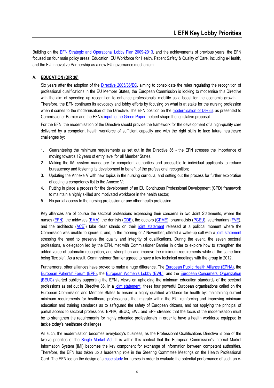Building on the [EFN Strategic and Operational Lobby Plan 2009-2013,](http://www.efnweb.eu/version1/en/documents/UpdatedEFNStrategicandOperationalLobbyPlan2009-2013-EN.pdf) and the achievements of previous years, the EFN focused on four main policy areas: Education, EU Workforce for Health, Patient Safety & Quality of Care, including e-Health, and the EU Innovative Partnership as a new EU governance mechanism.

#### **A. EDUCATION (DIR 36)**

Six years after the adoption of the [Directive 2005/36/EC,](http://ec.europa.eu/internal_market/qualifications/future_en.htm) aiming to consolidate the rules regulating the recognition of professional qualifications in the EU Member States, the European Commission is looking to modernise this Directive with the aim of speeding up recognition to enhance professionals' mobility as a boost for the economic growth. Therefore, the EFN continues its advocacy and lobby efforts by focusing on what is at stake for the nursing profession when it comes to the modernisation of the Directive. The EFN position on the [modernisation of DIR36,](http://eur-lex.europa.eu/LexUriServ/LexUriServ.do?uri=COM:2011:0367:FIN:en:PDF) as presented to Commissioner Barnier and the EFN's [input to the Green Paper,](http://www.efnweb.eu/version1/en/documents/GreenPaper-ModernisingPQD-EFNInputtoConsultation-Final.pdf) helped shape the legislative proposal.

For the EFN, the modernisation of the Directive should provide the framework for the development of a high-quality care delivered by a competent health workforce of sufficient capacity and with the right skills to face future healthcare challenges by:

- 1. Guaranteeing the minimum requirements as set out in the Directive 36 the EFN stresses the importance of moving towards 12 years of entry level for all Member States.
- 2. Making the IMI system mandatory for competent authorities and accessible to individual applicants to reduce bureaucracy and fostering its development in benefit of the professional recognition;
- 3. Updating the Annexe V with new topics in the nursing curricula, and setting out the process for further exploration of adding a competency list to the Annexe V;
- 4. Putting in place a process for the development of an EU Continuous Professional Development (CPD) framework to maintain a highly skilled and motivated workforce in the health sector;
- 5. No partial access to the nursing profession or any other health profession.

Key alliances are of course the sectoral professions expressing their concerns in two Joint Statements, where the nurses [\(EFN\)](http://www.efnweb.eu/), the midwives [\(EMA\)](http://www.europeanmidwives.org/), the dentists [\(CDE\)](http://www.eudental.eu/), the doctors [\(CPME\)](http://www.cpme.eu/), pharmacists [\(PGEU\)](http://www.pgeu.eu/), veterinarians [\(FVE\)](http://www.fve.org/), and the architects [\(ACE\)\)](http://www.ace-cae.org/) take clear stands on their [joint statement](http://www.efnweb.eu/version1/en/documents/JointStatementSectoralProfessions-ECConsultationonDIR36-15032011.pdf) released at a political moment where the Commission was unable to ignore it, and, in the morning of 7 November, offered a wake-up call with a [joint statement](http://www.efnweb.eu/version1/en/documents/JointStatementoftheEuropeanSectoralProfessionsontheModernisationoftheDirective36.pdf) stressing the need to preserve the quality and integrity of qualifications. During the event, the seven sectoral professions, a delegation led by the EFN, met with Commissioner Barnier in order to explore how to strengthen the added value of automatic recognition, and strengthen and improve the minimum requirements while at the same time being 'flexible''. As a result, Commissioner Barnier agreed to have a few technical meetings with the group in 2012.

Furthermore, other alliances have proved to make a huge difference. The [European Public Health Alliance \(EPHA\),](http://www.epha.org/) the [European Patients' Forum \(EPF\)](http://www.eu-patient.eu/), the [European Women's Lobby \(EWL\)](http://www.womenlobby.org/?lang=en), and the [European Consumers' Organization](http://www.beuc.org/Content/Default.asp)  [\(BEUC\)](http://www.beuc.org/Content/Default.asp) started publicly supporting the EFN's views on upholding the minimum education standards of the sectoral professions as set out in Directive 36. In a [joint statement](http://www.epha.org/IMG/pdf/Joint_Statement_EPHA_EPF_EWL_BEUC_final.pdf), these four powerful European organisations called on the European Commission and Member States to ensure a highly qualified workforce for health by: maintaining current minimum requirements for healthcare professionals that migrate within the EU, reinforcing and improving minimum education and training standards as to safeguard the safety of European citizens, and not applying the principal of partial access to sectoral professions. EPHA, BEUC, EWL and EPF stressed that the focus of the modernisation must be to strengthen the requirements for highly educated professionals in order to have a health workforce equipped to tackle today's healthcare challenges.

As such, the modernisation becomes everybody's business, as the Professional Qualifications Directive is one of the twelve priorities of the [Single Market Act.](http://ec.europa.eu/internal_market/smact/index_en.htm) It is within this context that the European Commission's Internal Market Information System (IMI) becomes the key component for exchange of information between competent authorities. Therefore, the EFN has taken up a leadership role in the Steering Committee Meetings on the Health Professional Card. The EFN led on the design of a [case study](http://www.efnweb.eu/version1/en/documents/CaseStudyEuropeanProfessionalMobilityCardforNurses-16092011.pdf) for nurses in order to evaluate the potential performance of such an e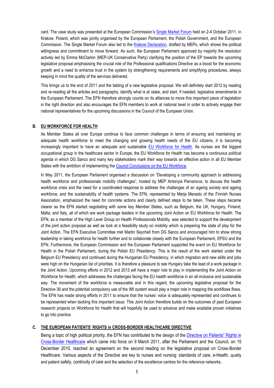card. The case study was presented at the European Commission's [Single Market Forum](http://ec.europa.eu/internal_market/top_layer/single_market_forum_en.htm) held on 2-4 October 2011, in Krakow, Poland, which was jointly organised by the European Parliament, the Polish Government, and the European Commission. The Single Market Forum also led to the [Krakow Declaration,](https://sites.google.com/site/expertconference/krakow-statement) drafted by MEPs, which shows the political willingness and commitment to move forward. As such, the European Parliament approved by majority the resolution actively led by Emma McClarkin (MEP-UK Conservative Party) clarifying the position of the EP towards the upcoming legislative proposal emphasising the crucial role of the Professional qualifications Directive as a boost for the economic growth and a need to enhance trust in the system by strengthening requirements and simplifying procedures, always keeping in mind the quality of the services delivered.

This brings us to the end of 2011 and the tabling of a new legislative proposal. We will definitely start 2012 by reading and re-reading all the articles and paragraphs, identify what is at stake, and start, if needed, legislative amendments in the European Parliament. The EFN therefore strongly counts on its alliances to move this important piece of legislation in the right direction and also encourages the EFN members to work at national level in order to actively engage their national representatives for the upcoming discussions in the Council of the European Union.

#### **B. EU WORKFORCE FOR HEALTH**

As Member States all over Europe continue to face common challenges in terms of ensuring and maintaining an adequate health workforce to meet the changing and growing health needs of the EU citizens, it is becoming increasingly important to have an adequate and sustainable [EU Workforce for Health.](http://ec.europa.eu/health-eu/europe_for_patients/health_workforce/index_en.htm) As nurses are the biggest occupational group in the healthcare sector in Europe, the EU Workforce for Health has become a continuous political agenda in which DG Sanco and many key stakeholders mark their way towards an effective action in all EU Member States with the ambition of implementing the [Council Conclusions on the EU Workforce.](http://www.consilium.europa.eu/uedocs/cms_data/docs/pressdata/en/lsa/118280.pdf) 

In May 2011, the European Parliament organised a discussion on "Developing a community approach to addressing health workforce and professionals mobility challenges", hosted by MEP Antonyia Parvanova, to discuss the health workforce crisis and the need for a coordinated response to address the challenges of an ageing society and ageing workforce, and the sustainability of health systems. The EFN, represented by Merja Merasto of the Finnish Nurses Association, emphasized the need for concrete actions and clearly defined steps to be taken. These steps became clearer as the EFN started negotiating with some key Member States, such as Belgium, the UK, Hungary, Finland, Malta, and Italy, all of which are work package leaders in the upcoming Joint Action on EU Workforce for Health. The EFN, as a member of the High Level Group on Health Professionals Mobility, was selected to support the development of the joint action proposal as well as look at a feasibility study on mobility which is preparing the state of play for the Joint Action. The EFN Executive Committee met Martin Seychell from DG Sanco and encouraged him to show strong leadership in taking workforce for health further and to collaborate closely with the European Parliament, EPSU and the EFN. Furthermore, the European Commission and the European Parliament supported the event on EU Workforce for Health in the Polish Parliament, during the Polish EU Presidency. This is the result of the work started under the Belgium EU Presidency and continued during the Hungarian EU Presidency, in which migration and new skills and jobs were high on the Hungarian list of priorities. It is therefore a pleasure to see Hungary take the lead of a work package in the Joint Action. Upcoming efforts in 2012 and 2013 will have a major role to play in implementing the Joint Action on Workforce for Health, which addresses the challenges facing the EU health workforce in an all-inclusive and sustainable way. The movement of the workforce is measurable and in this regard, the upcoming legislative proposal for the Directive 36 and the potential compulsory use of the IMI system would play a major role in mapping the workflows flows. The EFN has made strong efforts in 2011 to ensure that the nurses' voice is adequately represented and continues to be represented when tackling this important issue. This Joint Action therefore builds on the outcomes of past European research projects on Workforce for Health that will hopefully be used to advance and make available proven initiatives to go into practice.

#### **C. THE EUROPEAN PATIENTS' RIGHTS in CROSS-BORDER HEALTHCARE DIRECTIVE**

Being a topic of high political priority, the EFN has contributed to the design of the [Directive on Patients" Rights](http://eur-lex.europa.eu/LexUriServ/LexUriServ.do?uri=OJ:L:2011:088:0045:0065:EN:PDF) in [Cross-Border Healthcare](http://eur-lex.europa.eu/LexUriServ/LexUriServ.do?uri=OJ:L:2011:088:0045:0065:EN:PDF) which came into force on 9 March 2011, after the Parliament and the Council, on 15 December 2010, reached an agreement on the second reading on the legislative proposal on Cross-Border Healthcare. Various aspects of the Directive are key to nurses and nursing: standards of care, e-Health, quality and patient safety, continuity of care and the selection of the excellence centres for the reference networks.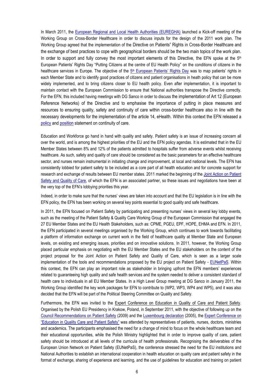In March 2011, the [European Regional and Local Health Authorities \(EUREGHA\)](http://www.euregha.net/home/) launched a Kick-off meeting of the Working Group on Cross-Border Healthcare in order to discuss inputs for the design of the 2011 work plan. The Working Group agreed that the implementation of the Directive on Patients" Rights in Cross-Border Healthcare and the exchange of best practices to cope with geographical borders should be the two main topics of the work plan. In order to support and fully convey the most important elements of this Directive, the EFN spoke at the  $5<sup>th</sup>$ European Patients' Rights Day "Putting Citizens at the centre of EU Health Policy" on the conditions of citizens in the healthcare services in Europe. The objective of the 5<sup>th</sup> [European Patients' Rights Day](http://www.activecitizenship.net/content/blogcategory/72/179/) was to map patients' rights in each Member State and to identify good practices of citizens and patient organisations in heath policy that can be more widely implemented, and to bring citizens closer to EU health policy. Even after implementation, it is important to maintain contact with the European Commission to ensure that National authorities transpose the Directive correctly. For the EFN, this included having meetings with DG Sanco in order to discuss the implementation of Art 12 (European Reference Networks) of the Directive and to emphasise the importance of putting in place measures and resources to ensuring quality, safety and continuity of care within cross-border healthcare also in line with the necessary developments for the implementation of the article 14, eHealth. Within this context the EFN released a [policy](../../../../Local%20Settings/Temporary%20Internet%20Files/Content.Outlook/Local%20Settings/Temporary%20Internet%20Files/Content.Outlook/Local%20Settings/Temporary%20Internet%20Files/AppData/Local/Microsoft/Local%20Settings/Temporary%20Internet%20Files/Content.Outlook/Local%20Settings/Temporary%20Internet%20Files/Policy%20&%20Position%20statements/EFN%20Policy%20Statement%20on%20Continuity%20of%20Care.pdf) and [position](../../../../Local%20Settings/Temporary%20Internet%20Files/Content.Outlook/Local%20Settings/Temporary%20Internet%20Files/Content.Outlook/Local%20Settings/Temporary%20Internet%20Files/AppData/Local/Microsoft/Local%20Settings/Temporary%20Internet%20Files/Content.Outlook/Local%20Settings/Temporary%20Internet%20Files/Policy%20&%20Position%20statements/EFN%20Position%20Statement%20on%20Continuity%20of%20Care.pdf) statement on continuity of care.

Education and Workforce go hand in hand with quality and safety. Patient safety is an issue of increasing concern all over the world, and is among the highest priorities of the EU and the EFN policy agendas. It is estimated that in the EU Member States between 8% and 12% of the patients admitted to hospitals suffer from adverse events whilst receiving healthcare. As such, safety and quality of care should be considered as the basic parameters for an effective healthcare sector, and nurses remain instrumental in initiating change and improvement, at local and national levels. The EFN has consistently lobbied for patient safety to be included as a core part of all health education and for concrete support for research and exchange of results between EU member states. 2011 marked the beginning of the [Joint Action on Patient](http://ec.europa.eu/health/patient_safety/policy/index_en.htm)  [Safety and Quality of Care,](http://ec.europa.eu/health/patient_safety/policy/index_en.htm) of which the EFN is an associated partner, so these issues and negotiations have been at the very top of the EFN's lobbying priorities this year.

Indeed, in order to make sure that the nurses' views are taken into account and that the EU legislation is in line with the EFN policy, the EFN has been working on several key points essential to good quality and safe healthcare.

In 2011, the EFN focused on Patient Safety by participating and presenting nurses' views in several key lobby events, such as the meeting of the Patient Safety & Quality Care Working Group of the European Commission that engaged the 27 EU Member States and the EU Health Stakeholders, such as: CPME, PGEU, EPF, HOPE, EHMA and EFN. In 2011, the EFN participated in several meetings organised by the Working Group, which continues to work towards facilitating a platform of information exchange on current work in the field of healthcare quality at Member State and European levels, on existing and emerging issues, priorities and on innovative solutions. In 2011, however, the Working Group placed particular emphasis on negotiating with the EU Member States and the EU stakeholders on the content of the project proposal for the Joint Action on Patient Safety and Quality of Care, which is seen as a larger scale implementation of the tools and recommendations proposed by the EU project on Patient Safety - [EUNetPaS.](http://www.eunetpas.eu/) Within this context, the EFN can play an important role as stakeholder in bringing upfront the EFN members' experiences related to guaranteeing high quality and safe health services and the system needed to deliver a consistent standard of health care to individuals in all EU Member States. In a High Level Group meeting at DG Sanco in January 2011, the Working Group identified the key work packages for EFN to contribute to (WP2, WP3, WP4 and WP5), and it was also decided that the EFN will be part of the Political Steering Committee on Quality and Safety.

Furthermore, the EFN was invited to the Expert Conference on Education in Quality of Care and Patient Safety. Organised by the Polish EU Presidency in Krakow, Poland, in September 2011, with the objective of following up on the [Council Recommendations on Patient Safety](http://ec.europa.eu/health/patient_safety/docs/council_2009_en.pdf) (2009) and the [Luxembourg declaration](http://ec.europa.eu/health/ph_overview/Documents/ev_20050405_rd01_en.pdf) (2005), th[e Expert Conference on](https://sites.google.com/site/expertconference/expert-conference)  ["Education in Quality Care and Patient Safety"](https://sites.google.com/site/expertconference/expert-conference) was attended by representatives of patients, nurses, doctors, ministries and academics. The participants emphasised the need for a change of mind to focus on the whole healthcare team and their educational opportunities, while the Polish Ministry highlighted that in order to improve quality of care, patient safety should be introduced at all levels of the curricula of health professionals. Recognising the deliverables of the European Union Network on Patient Safety (EUNetPaS), the conference stressed the need for the EU institutions and National Authorities to establish an international cooperation in health education on quality care and patient safety in the format of exchange, sharing of experience and learning, and the use of guidelines for education and training on patient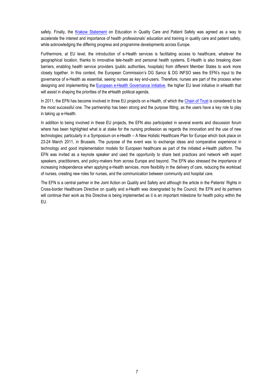safety. Finally, the [Krakow Statement](https://sites.google.com/site/expertconference/krakow-statement) on Education in Quality Care and Patient Safety was agreed as a way to accelerate the interest and importance of health professionals' education and training in quality care and patient safety, while acknowledging the differing progress and programme developments across Europe.

Furthermore, at EU level, the introduction of e-Health services is facilitating access to healthcare, whatever the geographical location, thanks to innovative tele-health and personal health systems. E-Health is also breaking down barriers, enabling health service providers (public authorities, hospitals) from different Member States to work more closely together. In this context, the European Commission's DG Sanco & DG INFSO sees the EFN's input to the governance of e-Health as essential, seeing nurses as key end-users. Therefore, nurses are part of the process when designing and implementing the European e-Health [Governance Initiative,](http://ec.europa.eu/information_society/activities/health/policy/ehealth_governance_initiative/index_en.htm) the higher EU level initiative in eHealth that will assist in shaping the priorities of the eHealth political agenda.

In 2011, the EFN has become involved in three EU projects on e-Health, of which the [Chain of Trust](http://www.chainoftrust.eu/) is considered to be the most successful one. The partnership has been strong and the purpose fitting, as the users have a key role to play in taking up e-Health.

In addition to being involved in these EU projects, the EFN also participated in several events and discussion forum where has been highlighted what is at stake for the nursing profession as regards the innovation and the use of new technologies; particularly in a Symposium on e-Health – A New Holistic Healthcare Plan for Europe which took place on 23-24 March 2011, in Brussels. The purpose of the event was to exchange ideas and comparative experience in technology and good implementation models for European healthcare as part of the initiated e-Health platform. The EFN was invited as a keynote speaker and used the opportunity to share best practices and network with expert speakers, practitioners, and policy-makers from across Europe and beyond. The EFN also stressed the importance of increasing independence when applying e-Health services, more flexibility in the delivery of care, reducing the workload of nurses, creating new roles for nurses, and the communication between community and hospital care.

The EFN is a central partner in the Joint Action on Quality and Safety and although the article in the Patients' Rights in Cross-border Healthcare Directive on quality and e-Health was downgraded by the Council, the EFN and its partners will continue their work as this Directive is being implemented as it is an important milestone for health policy within the EU.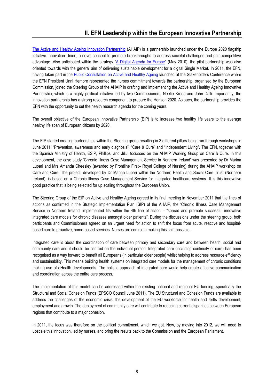[The Active and Healthy Ageing Innovation Partnership](http://ec.europa.eu/research/innovation-union/index_en.cfm?section=active-healthy-ageing) (AHAIP) is a partnership launched under the Europe 2020 flagship initiative Innovation Union, a novel concept to promote breakthroughs to address societal challenges and gain competitive advantage. Also anticipated within the strategy "[A Digital Agenda for Europe](http://ec.europa.eu/information_society/digital-agenda/index_en.htm)" (May 2010), the pilot partnership was also oriented towards with the general aim of delivering sustainable development for a digital Single Market. In 2011, the EFN, having taken part in the [Public Consultation on Active and Healthy Ageing](http://ec.europa.eu/health/ageing/consultations/ageing_cons_01_en.htm) launched at the Stakeholders Conference where the EFN President Unni Hembre represented the nurses commitment towards the partnership, organised by the European Commission**,** joined the Steering Group of the AHAIP in drafting and implementing the Active and Healthy Ageing Innovative Partnership, which is a highly political initiative led by two Commissioners, Neelie Kroes and John Dalli. Importantly, the innovation partnership has a strong research component to prepare the Horizon 2020. As such, the partnership provides the EFN with the opportunity to set the health research agenda for the coming years.

The overall objective of the European Innovative Partnership (EIP) is to increase two healthy life years to the average healthy life span of European citizens by 2020.

The EIP started creating partnerships within the Steering group resulting in 3 different pillars being run through workshops in June 2011: "Prevention, awareness and early diagnosis", "Care & Cure" and "Independent Living". The EFN, together with the Spanish Ministry of Health, ESIP, Phillips, and J&J, focussed on the AHAIP Working Group on Care & Cure. In this development, the case study 'Chronic Illness Case Management Service in Northern Ireland' was presented by Dr Marina Lupari and Mrs Amanda Cheesley (awarded by Frontline First– Royal College of Nursing) during the AHAIP workshop on Care and Cure. The project, developed by Dr Marina Lupari within the Northern Health and Social Care Trust (Northern Ireland), is based on a Chronic Illness Case Management Service for integrated healthcare systems. It is this innovative good practice that is being selected for up scaling throughout the European Union.

The Steering Group of the EIP on Active and Healthy Ageing agreed in its final meeting in November 2011 that the lines of actions as confirmed in the Strategic Implementation Plan (SIP) of the AHAIP, the 'Chronic Illness Case Management Service in Northern Ireland' implemented fits within the 4th line of action – "spread and promote successful innovative integrated care models for chronic diseases amongst older patients". During the discussions under the steering group, both participants and Commissioners agreed on an urgent need for action to shift the focus from acute, reactive and hospitalbased care to proactive, home-based services. Nurses are central in making this shift possible.

Integrated care is about the coordination of care between primary and secondary care and between health, social and community care and it should be centred on the individual person. Integrated care (including continuity of care) has been recognised as a way forward to benefit all Europeans (in particular older people) whilst helping to address resource efficiency and sustainability. This means building health systems on integrated care models for the management of chronic conditions making use of eHealth developments. The holistic approach of integrated care would help create effective communication and coordination across the entire care process.

The implementation of this model can be addressed within the existing national and regional EU funding, specifically the Structural and Social Cohesion Funds (EPSCO Council June 2011). The EU Structural and Cohesion Funds are available to address the challenges of the economic crisis, the development of the EU workforce for health and skills development, employment and growth. The deployment of community care will contribute to reducing current disparities between European regions that contribute to a major cohesion.

In 2011, the focus was therefore on the political commitment, which we got. Now, by moving into 2012, we will need to upscale this innovation, led by nurses, and bring the results back to the Commission and the European Parliament.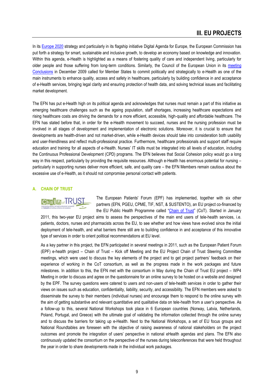## **III. EU PROJECTS**

In its [Europe 2020](http://ec.europa.eu/europe2020/index_en.htm) strategy and particularly in its flagship initiative Digital Agenda for Europe, the European Commission has put forth a strategy for smart, sustainable and inclusive growth, to develop an economy based on knowledge and innovation. Within this agenda, e-Health is highlighted as a means of fostering quality of care and independent living, particularly for older people and those suffering from long-term conditions. Similarly, the Council of the European Union in its meeting [Conclusions](http://www.consilium.europa.eu/uedocs/cms_data/docs/pressdata/en/lsa/111613.pdf) in December 2009 called for Member States to commit politically and strategically to e-Health as one of the main instruments to enhance quality, access and safety in healthcare, particularly by building confidence in and acceptance of e-Health services, bringing legal clarity and ensuring protection of health data, and solving technical issues and facilitating market development.

The EFN has put e-Health high on its political agenda and acknowledges that nurses must remain a part of this initiative as emerging healthcare challenges such as the ageing population, staff shortages, increasing healthcare expectations and rising healthcare costs are driving the demands for a more efficient, accessible, high-quality and affordable healthcare. The EFN has stated before that, in order for the e-Health movement to succeed, nurses and the nursing profession must be involved in all stages of development and implementation of electronic solutions. Moreover, it is crucial to ensure that developments are health-driven and not market-driven, while e-Health devices should take into consideration both usability and user-friendliness and reflect multi-professional practice. Furthermore, healthcare professionals and support staff require education and training for all aspects of e-Health. Nurses' IT skills must be integrated into all levels of education, including the Continuous Professional Development (CPD) programs. The EFN believes that Social Cohesion policy would go a long way in this respect, particularly by providing the requisite resources. Although e-Health has enormous potential for nursing – particularly in supporting nurses deliver more efficient, safe, and quality care – the EFN Members remain cautious about the excessive use of e-Health, as it should not compromise personal contact with patients.

#### **A. CHAIN OF TRUST**



The European Patients' Forum (EPF) has implemented, together with six other partners (EFN, PGEU, CPME, TIF, NST, & SUSTENTO), an EU project co-financed by the EU Public Health Programme called "[Chain of Trust](http://www.chainoftrust.eu/)" (CoT). Started in January

2011, this two-year EU project aims to assess the perspectives of the main end users of tele-health services, i.e. patients, doctors, nurses and pharmacists across the EU, to see whether and how views have evolved since the initial deployment of tele-health, and what barriers there still are to building confidence in and acceptance of this innovative type of services in order to orient political recommendations at EU level.

As a key partner in this project, the EFN participated in several meetings in 2011, such as the European Patient Forum (EPF) e-health project – Chain of Trust – Kick off Meeting and the EU Project Chain of Trust Steering Committee meetings, which were used to discuss the key elements of the project and to get project partners' feedback on their experience of working in the CoT consortium, as well as the progress made in the work packages and future milestones. In addition to this, the EFN met with the consortium in May during the Chain of Trust EU project – WP4 Meeting in order to discuss and agree on the questionnaire for an online survey to be hosted on a website and designed by the EPF. The survey questions were catered to users and non-users of tele-health services in order to gather their views on issues such as education, confidentiality, liability, security, and accessibility. The EFN members were asked to disseminate the survey to their members (individual nurses) and encourage them to respond to the online survey with the aim of getting substantive and relevant quantitative and qualitative data on tele-health from a user's perspective. As a follow-up to this, several National Workshops took place in 6 European countries (Norway, Latvia, Netherlands, Poland, Portugal, and Greece) with the ultimate goal of validating the information collected through the online survey and to discuss the barriers for taking up e-Health. Next to the National Workshops, a set of EU focus groups and National Roundtables are foreseen with the objective of raising awareness of national stakeholders on the project outcomes and promote the integration of users' perspective in national eHealth agendas and plans. The EFN also continuously updated the consortium on the perspective of the nurses during teleconferences that were held throughout the year in order to share developments made in the individual work packages.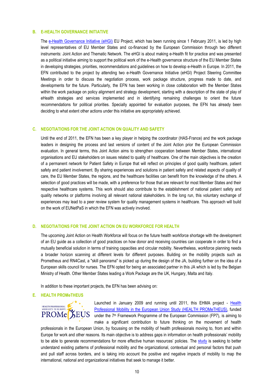#### **B. E-HEALTH GOVERNANCE INITIATIVE**

The e-Health [Governance Initiative \(eHGI\)](http://ec.europa.eu/information_society/activities/health/policy/ehealth_governance_initiative/index_en.htm) EU Project, which has been running since 1 February 2011, is led by high level representatives of EU Member States and co-financed by the European Commission through two different instruments: Joint Action and Thematic Network. The eHGI is about making e-Health fit for practice and was presented as a political initiative aiming to support the political work of the e-Health governance structure of the EU Member States in developing strategies, priorities, recommendations and guidelines on how to develop e-Health in Europe. In 2011, the EFN contributed to the project by attending two e-Health Governance Initiative (eHGI) Project Steering Committee Meetings in order to discuss the negotiation process, work package structure, progress made to date, and developments for the future. Particularly, the EFN has been working in close collaboration with the Member States within the work package on policy alignment and strategy development, starting with a description of the state of play of eHealth strategies and services implemented and in identifying remaining challenges to orient the future recommendations for political priorities. Specially appointed for evaluation purposes, the EFN has already been deciding to what extent other actions under this initiative are appropriately achieved.

#### **C. NEGOTIATIONS FOR THE JOINT ACTION ON QUALITY AND SAFETY**

Until the end of 2011, the EFN has been a key player in helping the coordinator (HAS-France) and the work package leaders in designing the process and last versions of content of the Joint Action prior the European Commission evaluation. In general terms, this Joint Action aims to strengthen cooperation between Member States, international organisations and EU stakeholders on issues related to quality of healthcare. One of the main objectives is the creation of a permanent network for Patient Safety in Europe that will reflect on principles of good quality healthcare, patient safety and patient involvement. By sharing experiences and solutions in patient safety and related aspects of quality of care, the EU Member States, the regions, and the healthcare facilities can benefit from the knowledge of the others. A selection of good practices will be made, with a preference for those that are relevant for most Member States and their respective healthcare systems. This work should also contribute to the establishment of national patient safety and quality networks or platforms involving all relevant national stakeholders. In the long run, this voluntary exchange of experiences may lead to a peer review system for quality management systems in healthcare. This approach will build on the work of EUNetPaS in which the EFN was actively involved.

#### **D. NEGOTIATIONS FOR THE JOINT ACTION ON EU WORKFORCE FOR HEALTH**

The upcoming Joint Action on Health Workforce will focus on the future health workforce shortage with the development of an EU guide as a collection of good practices on how donor and receiving countries can cooperate in order to find a mutually beneficial solution in terms of training capacities and circular mobility. Nevertheless, workforce planning needs a broader horizon scanning at different levels for different purposes. Building on the mobility projects such as Prometheus and RN4Cast, a "skill panorama" is picked up during the design of the JA, building further on the idea of a European skills council for nurses. The EFN opted for being an associated partner in this JA which is led by the Belgian Ministry of Health. Other Member States leading a Work Package are the UK, Hungary, Malta and Italy.

In addition to these important projects, the EFN has been advising on:

#### **E. HEALTH PROMeTHEUS**

# HEALTH PROFESSIONAL<br>MOBILITY IN EUROPE PROMe<sup>3</sup>EUS

Launched in January 2009 and running until 2011, this EHMA project - Health [Professional Mobility in the European Union Study](http://www.ehma.org/index.php?q=node/46) (HEALTH PROMeTHEUS), funded under the 7<sup>th</sup> Framework Programme of the European Commission (FP7), is aiming to make a significant contribution to future thinking on the movement of health

professionals in the European Union, by focussing on the mobility of health professionals moving to, from and within Europe for work and other reasons. Its main objective is to address gaps in information on health professionals' mobility to be able to generate recommendations for more effective human resources' policies. The [study](http://www.ehma.org/files/Prometheus_Flyer%20%28v1%29.pdf) is seeking to better understand existing patterns of professional mobility and the organizational, contextual and personal factors that push and pull staff across borders, and is taking into account the positive and negative impacts of mobility to map the international, national and organizational initiatives that seek to manage it better.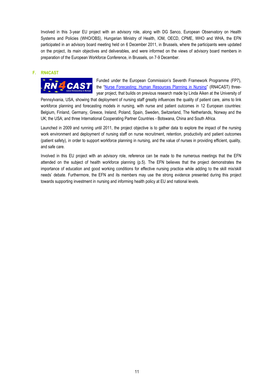Involved in this 3-year EU project with an advisory role, along with DG Sanco, European Observatory on Health Systems and Policies (WHO/OBS), Hungarian Ministry of Health, IOM, OECD, CPME, WHO and WHA, the EFN participated in an advisory board meeting held on 6 December 2011, in Brussels, where the participants were updated on the project, its main objectives and deliverables, and were informed on the views of advisory board members in preparation of the European Workforce Conference, in Brussels, on 7-9 December.

#### **F. RN4CAST**



Funded under the European Commission's Seventh Framework Programme (FP7), the "Nurse Forecasting: Human [Resources Planning in Nursing](http://www.rn4cast.eu/)" (RN4CAST) threeyear project, that builds on previous research made by Linda Aiken at the University of

Pennsylvania, USA, showing that deployment of nursing staff greatly influences the quality of patient care, aims to link workforce planning and forecasting models in nursing, with nurse and patient outcomes in 12 European countries: Belgium, Finland, Germany, Greece, Ireland, Poland, Spain, Sweden, Switzerland, The Netherlands, Norway and the UK; the USA; and three International Cooperating Partner Countries - Botswana, China and South Africa.

Launched in 2009 and running until 2011, the project objective is to gather data to explore the impact of the nursing work environment and deployment of nursing staff on nurse recruitment, retention, productivity and patient outcomes (patient safety), in order to support workforce planning in nursing, and the value of nurses in providing efficient, quality, and safe care.

Involved in this EU project with an advisory role, reference can be made to the numerous meetings that the EFN attended on the subject of health workforce planning (p.5). The EFN believes that the project demonstrates the importance of education and good working conditions for effective nursing practice while adding to the skill mix/skill needs' debate. Furthermore, the EFN and its members may use the strong evidence presented during this project towards supporting investment in nursing and informing health policy at EU and national levels.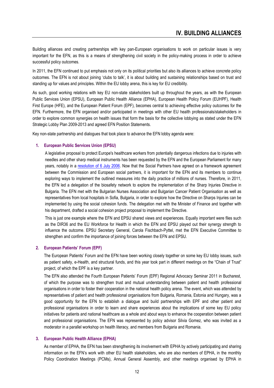Building alliances and creating partnerships with key pan-European organisations to work on particular issues is very important for the EFN, as this is a means of strengthening civil society in the policy-making process in order to achieve successful policy outcomes.

In 2011, the EFN continued to put emphasis not only on its political priorities but also its alliances to achieve concrete policy outcomes. The EFN is not about joining 'clubs to talk', it is about building and sustaining relationships based on trust and standing up for values and principles. Within the EU lobby arena, this is key for EU credibility.

As such, good working relations with key EU non-state stakeholders built up throughout the years, as with the European Public Services Union (EPSU), European Public Health Alliance (EPHA), European Health Policy Forum (EUHPF), Health First Europe (HFE), and the European Patient Forum (EPF), becomes central to achieving effective policy outcomes for the EFN. Furthermore, the EFN organised and/or participated in meetings with other EU health professionals/stakeholders in order to explore common synergies on health issues that form the basis for the collective lobbying as stated under the EFN Strategic Lobby Plan 2009-2013 and agreed EFN Position Statements.

Key non-state partnership and dialogues that took place to advance the EFN lobby agenda were:

#### **1. European Public Services Union (EPSU)**

A legislative proposal to protect Europe's healthcare workers from potentially dangerous infections due to injuries with needles and other sharp medical instruments has been requested by the EFN and the European Parliament for many years, notably in a [resolution of 6 July 2006.](http://eur-lex.europa.eu/LexUriServ/LexUriServ.do?uri=OJ:C:2006:303E:0754:0755:EN:PDF) Now that the Social Partners have agreed on a framework agreement between the Commission and European social partners, it is important for the EFN and its members to continue exploring ways to implement the outlined measures into the daily practice of millions of nurses. Therefore, in 2011, the EFN led a delegation of the biosafety network to explore the implementation of the Sharp Injuries Directive in Bulgaria. The EFN met with the Bulgarian Nurses Association and Bulgarian Cancer Patient Organisation as well as representatives from local hospitals in Sofia, Bulgaria, in order to explore how the Directive on Sharps Injuries can be implemented by using the social cohesion funds. The delegation met with the Minister of Finance and together with his department, drafted a social cohesion project proposal to implement the Directive.

This is just one example where the EFN and EPSU shared views and experiences. Equally important were files such as the DIR36 and the EU Workforce for Health in which the EFN and EPSU played out their synergy strength to influence the outcome. EPSU Secretary General, Carola Fischbach-Pyttel, met the EFN Executive Committee to strengthen and confirm the importance of joining forces between the EFN and EPSU.

#### **2. European Patients' Forum (EPF)**

The European Patients' Forum and the EFN have been working closely together on some key EU lobby issues, such as patient safety, e-Health, and structural funds, and this year took part in different meetings on the "Chain of Trust" project, of which the EPF is a key partner.

The EFN also attended the Fourth European Patients' Forum (EPF) Regional Advocacy Seminar 2011 in Bucharest, of which the purpose was to strengthen trust and mutual understanding between patient and health professional organisations in order to foster their cooperation in the national health policy arena. The event, which was attended by representatives of patient and health professional organisations from Bulgaria, Romania, Estonia and Hungary, was a good opportunity for the EFN to establish a dialogue and build partnerships with EPF and other patient and professional organisations in order to learn and share experiences about the implications of some key EU policy initiatives for patients and national healthcare as a whole and about ways to enhance the cooperation between patient and professional organisations. The EFN was represented by policy advisor Silvia Gomez, who was invited as a moderator in a parallel workshop on health literacy, and members from Bulgaria and Romania.

#### **3. European Public Health Alliance (EPHA)**

As member of EPHA, the EFN has been strengthening its involvement with EPHA by actively participating and sharing information on the EFN's work with other EU health stakeholders, who are also members of EPHA, in the monthly Policy Coordination Meetings (PCMs), Annual General Assembly, and other meetings organised by EPHA in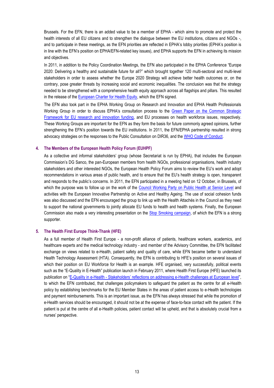Brussels. For the EFN, there is an added value to be a member of EPHA - which aims to promote and protect the health interests of all EU citizens and to strengthen the dialogue between the EU institutions, citizens and NGOs -, and to participate in these meetings, as the EFN priorities are reflected in EPHA's lobby priorities (EPHA's position is in line with the EFN's position on EPHA/EFN-related key issues), and EPHA supports the EFN in achieving its mission and objectives.

In 2011, in addition to the Policy Coordination Meetings, the EFN also participated in the EPHA Conference "Europe 2020: Delivering a healthy and sustainable future for all?" which brought together 120 multi-sectoral and multi-level stakeholders in order to assess whether the Europe 2020 Strategy will achieve better health outcomes or, on the contrary, pose greater threats by increasing social and economic inequalities. The conclusion was that the strategy needed to be strengthened with a comprehensive health equity approach across all flagships and pillars. This resulted in the release of the [European Charter for Health Equity,](http://www.epha.org/IMG/pdf/European_Charter_Health_Equity_July_v.pdf) which the EFN signed.

The EFN also took part in the EPHA Working Group on Research and Innovation and EPHA Health Professionals Working Group in order to discuss EPHA's consultation process to the [Green Paper on the Common Strategic](http://ec.europa.eu/research/horizon2020/index_en.cfm?pg=documents)  [Framework for EU research and innovation funding,](http://ec.europa.eu/research/horizon2020/index_en.cfm?pg=documents) and EU processes on health workforce issues, respectively. These Working Groups are important for the EFN as they form the basis for future commonly agreed opinions, further strengthening the EFN's position towards the EU institutions. In 2011, the EFN/EPHA partnership resulted in strong advocacy strategies on the responses to the Public Consultation on DIR36, and the [WHO Code of Conduct.](http://www.who.int/hrh/migration/code/practice/en/)

#### **4. The Members of the European Health Policy Forum (EUHPF)**

As a collective and informal stakeholders' group (whose Secretariat is run by EPHA), that includes the European Commission's DG Sanco, the pan-European members from health NGOs, professional organisations, health industry stakeholders and other interested NGOs, the European Health Policy Forum aims to review the EU's work and adopt recommendations in various areas of public health, and to ensure that the EU's health strategy is open, transparent and responds to the public's concerns. In 2011, the EFN participated in a meeting held on 12 October, in Brussels, of which the purpose was to follow up on the work of the Council Working Party [on Public Health at Senior Level](http://ec.europa.eu/health/archive/ph_overview/health_forum/docs/ev_20091016_rd03_en.pdf) and activities with the European Innovative Partnership on Active and Healthy Ageing. The use of social cohesion funds was also discussed and the EFN encouraged the group to link up with the Health Attachés in the Council as they need to support the national governments to jointly allocate EU funds to health and health systems. Finally, the European Commission also made a very interesting presentation on the [Stop Smoking campaign,](http://www.exsmokers.eu/uk-en/index) of which the EFN is a strong supporter.

#### **5. The Health First Europe Think-Thank (HFE)**

As a full member of Health First Europe - a non-profit alliance of patients, healthcare workers, academics, and healthcare experts and the medical technology industry - and member of the Advisory Committee, the EFN facilitated exchange on views related to e-Health, patient safety and quality of care, while EFN became better to understand Health Technology Assessment (HTA). Consequently, the EFN is contributing to HFE's position on several issues of which their position on EU Workforce for Health is an example. HFE organised, very successfully, political events such as the "E-Quality in E-Health" publication launch in February 2011, where Health First Europe (HFE) launched its publication on "E-Quality in e-Health - [Stakeholders' reflections on addressing e](http://healthfirsteurope.org/uploads/documents/pub-143_en-e-quality_in_e-health_publication.pdf)-Health challenges at European level", to which the EFN contributed, that challenges policymakers to safeguard the patient as the centre for all e-Health policy by establishing benchmarks for the EU Member States in the areas of patient access to e-Health technologies and payment reimbursements. This is an important issue, as the EFN has always stressed that while the promotion of e-Health services should be encouraged, it should not be at the expense of face-to-face contact with the patient. If the patient is put at the centre of all e-Health policies, patient contact will be upheld, and that is absolutely crucial from a nurses' perspective.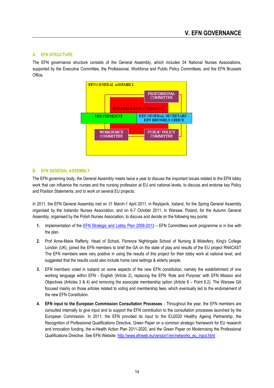#### **A. EFN STRUCTURE**

The EFN governance structure consists of the General Assembly, which includes 34 National Nurses Associations, supported by the Executive Committee, the Professional, Workforce and Public Policy Committees, and the EFN Brussels Office.



#### **B. EFN GENERAL ASSEMBLY**

The EFN governing body, the General Assembly meets twice a year to discuss the important issues related to the EFN lobby work that can influence the nurses and the nursing profession at EU and national levels, to discuss and endorse key Policy and Position Statements, and to work on several EU projects.

In 2011, the EFN General Assembly met on 31 March-1 April 2011, in Reykjavík, Iceland, for the Spring General Assembly organised by the Icelandic Nurses Association, and on 6-7 October 2011, in Warsaw, Poland, for the Autumn General Assembly, organised by the Polish Nurses Association, to discuss and decide on the following key points:

- **1.** Implementation of the [EFN Strategic and Lobby Plan 2009-2013](http://www.efnweb.eu/version1/en/documents/UpdatedEFNStrategicandOperationalLobbyPlan2009-2013-EN.pdf) EFN Committees work programme is in line with the plan.
- **2.** Prof Anne-Marie Rafferty, Head of School, Florence Nightingale School of Nursing & Midwifery, King's College London (UK), joined the EFN members to brief the GA on the state of play and results of the EU project RN4CAST The EFN members were very positive in using the results of this project for their lobby work at national level, and suggested that the results could also include home care settings & elderly people.
- **3.** EFN members voted in Iceland on some aspects of the new EFN constitution, namely the establishment of one working language within EFN - English (Article 2), replacing the EFN 'Role and Purpose' with EFN Mission and Objectives (Articles 3 & 4) and removing the associate membership option (Article 6 – Point 6.2). The Warsaw GA focused mainly on those articles related to voting and membership fees, which eventually led to the endorsement of the new EFN Constitution.
- **4. EFN input to the European Commission Consultation Processes** Throughout the year, the EFN members are consulted internally to give input and to support the EFN contribution to the consultation processes launched by the European Commission. In 2011, the EFN provided its input to the EU2020 Healthy Ageing Partnership, the Recognition of Professional Qualifications Directive, Green Paper on a common strategic framework for EU research and innovation funding, the e-Health Action Plan 2011-2020, and the Green Paper on Modernising the Professional Qualifications Directive. See EFN Website[: http://www.efnweb.eu/version1/en/networks\\_eu\\_input.html](http://www.efnweb.eu/version1/en/networks_eu_input.html)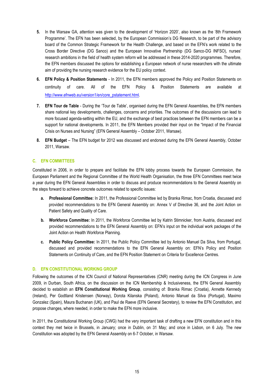- **5.** In the Warsaw GA, attention was given to the development of 'Horizon 2020', also known as the '8th Framework Programme'. The EFN has been selected, by the European Commission's DG Research, to be part of the advisory board of the Common Strategic Framework for the Health Challenge, and based on the EFN's work related to the Cross Border Directive (DG Sanco) and the European Innovative Partnership (DG Sanco-DG INFSO), nurses' research ambitions in the field of health system reform will be addressed in these 2014-2020 programmes. Therefore, the EFN members discussed the options for establishing a European network of nurse researchers with the ultimate aim of providing the nursing research evidence for the EU policy context.
- **6. EFN Policy & Position Statements**  In 2011, the EFN members approved the Policy and Position Statements on continuity of care. All of the EFN Policy & Position Statements are available at [http://www.efnweb.eu/version1/en/core\\_pstatement.html.](http://www.efnweb.eu/version1/en/core_pstatement.html)
- **7. EFN Tour de Table**  During the 'Tour de Table', organised during the EFN General Assemblies, the EFN members share national key developments, challenges, concerns and priorities. The outcomes of the discussions can lead to more focused agenda-setting within the EU, and the exchange of best practices between the EFN members can be a support for national developments. In 2011, the EFN Members provided their input on the "Impact of the Financial Crisis on Nurses and Nursing" (EFN General Assembly – October 2011, Warsaw).
- **8. EFN Budget** The EFN budget for 2012 was discussed and endorsed during the EFN General Assembly, October 2011, Warsaw.

#### **C. EFN COMMITTEES**

Constituted in 2006, in order to prepare and facilitate the EFN lobby process towards the European Commission, the European Parliament and the Regional Committee of the World Health Organisation, the three EFN Committees meet twice a year during the EFN General Assemblies in order to discuss and produce recommendations to the General Assembly on the steps forward to achieve concrete outcomes related to specific issues:

- **a. Professional Committee:** In 2011, the Professional Committee led by Branka Rimac, from Croatia, discussed and provided recommendations to the EFN General Assembly on: Annex V of Directive 36, and the Joint Action on Patient Safety and Quality of Care.
- **b. Workforce Committee:** In 2011, the Workforce Committee led by Katrin Stimnicker, from Austria, discussed and provided recommendations to the EFN General Assembly on: EFN's input on the individual work packages of the Joint Action on Health Workforce Planning.
- **c. Public Policy Committee:** In 2011, the Public Policy Committee led by Antonio Manuel Da Silva, from Portugal, discussed and provided recommendations to the EFN General Assembly on: EFN's Policy and Position Statements on Continuity of Care, and the EFN Position Statement on Criteria for Excellence Centres.

#### **D. EFN CONSTITUTIONAL WORKING GROUP**

Following the outcomes of the ICN Council of National Representatives (CNR) meeting during the ICN Congress in June 2009, in Durban, South Africa, on the discussion on the ICN Membership & Inclusiveness, the EFN General Assembly decided to establish an **EFN Constitutional Working Group**, consisting of: Branka Rimac (Croatia), Annette Kennedy (Ireland), Per Godtland Kristensen (Norway), Dorota Kilanska (Poland), Antonio Manuel da Silva (Portugal), Maximo Gonzalez (Spain), Maura Buchanan (UK), and Paul de Raeve (EFN General Secretary), to review the EFN Constitution, and propose changes, where needed, in order to make the EFN more inclusive.

In 2011, the Constitutional Working Group (CWG) had the very important task of drafting a new EFN constitution and in this context they met twice in Brussels, in January; once in Dublin, on 31 May; and once in Lisbon, on 6 July. The new Constitution was adopted by the EFN General Assembly on 6-7 October, in Warsaw.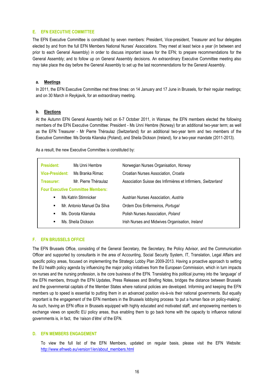#### **E. EFN EXECUTIVE COMMITTEE**

The EFN Executive Committee is constituted by seven members: President, Vice-president, Treasurer and four delegates elected by and from the full EFN Members National Nurses' Associations. They meet at least twice a year (in between and prior to each General Assembly) in order to discuss important issues for the EFN; to prepare recommendations for the General Assembly; and to follow up on General Assembly decisions. An extraordinary Executive Committee meeting also may take place the day before the General Assembly to set up the last recommendations for the General Assembly.

#### **a. Meetings**

In 2011, the EFN Executive Committee met three times: on 14 January and 17 June in Brussels, for their regular meetings; and on 30 March in Reykjavik, for an extraordinary meeting.

#### **b. Elections**

At the Autumn EFN General Assembly held on 6-7 October 2011, in Warsaw, the EFN members elected the following members of the EFN Executive Committee: President - Ms Unni Hembre (Norway) for an additional two-year term; as well as the EFN Treasurer - Mr Pierre Théraulaz (Switzerland) for an additional two-year term and two members of the Executive Committee: Ms Dorota Kilanska (Poland), and Sheila Dickson (Ireland), for a two-year mandate (2011-2013).

As a result, the new Executive Committee is constituted by:

#### **F. EFN BRUSSELS OFFICE**

The EFN Brussels Office, consisting of the General Secretary, the Secretary, the Policy Advisor, and the Communication Officer and supported by consultants in the area of Accounting, Social Security System, IT, Translation, Legal Affairs and specific policy areas, focused on implementing the Strategic Lobby Plan 2009-2013. Having a proactive approach to setting the EU health policy agenda by influencing the major policy initiatives from the European Commission, which in turn impacts on nurses and the nursing profession, is the core business of the EFN. Translating this political journey into the 'language' of the EFN members, through the EFN Updates, Press Releases and Briefing Notes, bridges the distance between Brussels and the governmental capitals of the Member States where national policies are developed. Informing and keeping the EFN members up to speed is essential to putting them in an advanced position vis-à-vis their national governments. But equally important is the engagement of the EFN members in the Brussels lobbying process 'to put a human face on policy-making'. As such, having an EFN office in Brussels equipped with highly educated and motivated staff, and empowering members to exchange views on specific EU policy areas, thus enabling them to go back home with the capacity to influence national governments is, in fact, the 'raison d'être' of the EFN.

#### **D. EFN MEMBERS ENGAGEMENT**

To view the full list of the EFN Members, updated on regular basis, please visit the EFN Website: [http://www.efnweb.eu/version1/en/about\\_members.html](http://www.efnweb.eu/version1/en/about_members.html)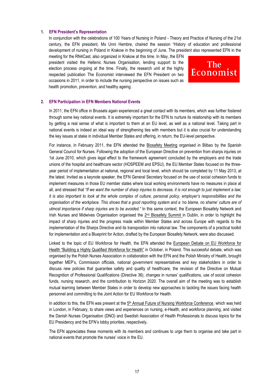#### **1. EFN President's Representation**

In conjunction with the celebrations of 100 Years of Nursing in Poland - Theory and Practice of Nursing of the 21st century, the EFN president, Ms Unni Hembre, chaired the session "History of education and professional development of nursing in Poland in Krakow in the beginning of June. The president also represented EFN in the

meeting for the RN4Cast, also organized in Krakow at this time. In May, the EFN president visited the Hellenic Nurses Organisation, lending support to the election process ongoing at the time. Finally, the research unit at the highly respected publication The Economist interviewed the EFN President on two occasions in 2011, in order to include the nursing perspective on issues such as health promotion, prevention, and healthy ageing.



#### **2. EFN Participation in EFN Members National Events**

In 2011, the EFN office in Brussels again experienced a great contact with its members, which was further fostered through some key national events. It is extremely important for the EFN to nurture its relationship with its members by getting a real sense of what is important to them at an EU level, as well as a national level. Taking part in national events is indeed an ideal way of strengthening ties with members but it is also crucial for understanding the key issues at stake in individual Member States and offering, in return, the EU-level perspective.

For instance, in February 2011, the EFN attended the Biosafety Meeting organised in Bilbao by the Spanish General Council for Nurses. Following the adoption of the European Directive on prevention from sharps injuries on 1st June 2010, which gives legal effect to the framework agreement concluded by the employers and the trade unions of the hospital and healthcare sector (HOSPEEM and EPSU), the EU Member States focused on the threeyear period of implementation at national, regional and local level, which should be completed by 11 May 2013, at the latest. Invited as a keynote speaker, the EFN General Secretary focused on the use of social cohesion funds to implement measures in those EU member states where local working environments have no measures in place at all, and stressed that *"If we want the number of sharp injuries to decrease, it is not enough to just implement a law; it is also important to look at the whole complex of culture, personal policy, employer's responsibilities and the organisation of the workplace. This shows that a good reporting system and a 'no blame, no shame' culture are of utmost importance if sharp injuries are to be avoided."* In this same context, the European Biosafety Network and Irish Nurses and Midwives Organisation organised the 2<sup>nd</sup> Biosafety Summit in Dublin, in order to highlight the impact of sharp injuries and the progress made within Member States and across Europe with regards to the implementation of the Sharps Directive and its transposition into national law. The components of a practical toolkit for implementation and a Blueprint for Action, drafted by the European Biosafety Network, were also discussed.

Linked to the topic of EU Workforce for Health, the EFN attended the European Debate on EU Workforce for Health "Building a Highly Qualified Workforce for Health" in October, in Poland. This successful debate, which was organised by the Polish Nurses Association in collaboration with the EFN and the Polish Ministry of Health, brought together MEP's, Commission officials, national government representatives and key stakeholders in order to discuss new policies that guarantee safety and quality of healthcare, the revision of the Directive on Mutual Recognition of Professional Qualifications (Directive 36), changes in nurses' qualifications, use of social cohesion funds, nursing research, and the contribution to Horizon 2020. The overall aim of the meeting was to establish mutual learning between Member States in order to develop new approaches to tackling the issues facing health personnel and committing to the Joint Action for EU Workforce for Health.

In addition to this, the EFN was present at the 5<sup>th</sup> Annual Future of Nursing Workforce Conference, which was held in London, in February, to share views and experiences on nursing, e-Health, and workforce planning, and visited the Danish Nurses Organisation (DNO) and Swedish Association of Health Professionals to discuss topics for the EU Presidency and the EFN's lobby priorities, respectively**.**

The EFN appreciates these moments with its members and continues to urge them to organise and take part in national events that promote the nurses' voice in the EU.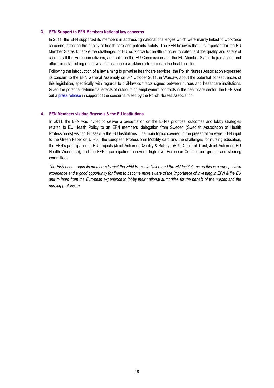#### **3. EFN Support to EFN Members National key concerns**

In 2011, the EFN supported its members in addressing national challenges which were mainly linked to workforce concerns, affecting the quality of health care and patients' safety. The EFN believes that it is important for the EU Member States to tackle the challenges of EU workforce for health in order to safeguard the quality and safety of care for all the European citizens, and calls on the EU Commission and the EU Member States to join action and efforts in establishing effective and sustainable workforce strategies in the health sector.

Following the introduction of a law aiming to privatise healthcare services, the Polish Nurses Association expressed its concern to the EFN General Assembly on 6-7 October 2011, in Warsaw, about the potential consequences of this legislation, specifically with regards to civil-law contracts signed between nurses and healthcare institutions. Given the potential detrimental effects of outsourcing employment contracts in the healthcare sector, the EFN sent out a [press release](../../../../Local%20Settings/Temporary%20Internet%20Files/Content.Outlook/Local%20Settings/Temporary%20Internet%20Files/Content.Outlook/Local%20Settings/Temporary%20Internet%20Files/AppData/Local/Microsoft/Local%20Settings/Fatima%20Saves%2021%2010%202011/Fatima%20C%20drive/EFN%20Press%20Release/EFN%20Press%20Release%202011/EFN%20PRESS%20RELEASE%20on%20Outsourcing%20Employment%20Contracts%20-%2010%2010%202011.pdf) in support of the concerns raised by the Polish Nurses Association.

#### **4. EFN Members visiting Brussels & the EU Institutions**

In 2011, the EFN was invited to deliver a presentation on the EFN's priorities, outcomes and lobby strategies related to EU Health Policy to an EFN members' delegation from Sweden (Swedish Association of Health Professionals) visiting Brussels & the EU Institutions. The main topics covered in the presentation were: EFN input to the Green Paper on DIR36, the European Professional Mobility card and the challenges for nursing education, the EFN's participation in EU projects (Joint Action on Quality & Safety, eHGI, Chain of Trust, Joint Action on EU Health Workforce), and the EFN's participation in several high-level European Commission groups and steering committees.

The EFN encourages its members to visit the EFN Brussels Office and the EU Institutions as this is a very positive *experience and a good opportunity for them to become more aware of the importance of investing in EFN & the EU and to learn from the European experience to lobby their national authorities for the benefit of the nurses and the nursing profession.*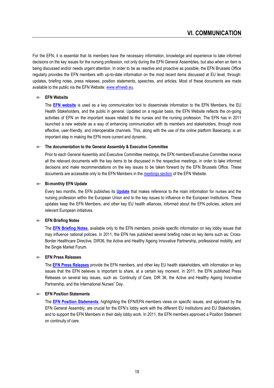For the EFN, it is essential that its members have the necessary information, knowledge and experience to take informed decisions on the key issues for the nursing profession, not only during the EFN General Assemblies, but also when an item is being discussed and/or needs urgent attention. In order to be as reactive and proactive as possible, the EFN Brussels Office regularly provides the EFN members with up-to-date information on the most recent items discussed at EU level, through: updates, briefing notes, press releases, position statements, speeches, and articles. Most of these documents are made available to the public via the EFN Website: [www.efnweb.eu.](http://www.efnweb.eu/)

#### **EFN Website**

The **[EFN website](http://www.efnweb.eu/)** is used as a key communication tool to disseminate information to the EFN Members, the EU Health Stakeholders, and the public in general. Updated on a regular basis, the EFN Website reflects the on-going activities of EFN on the important issues related to the nurses and the nursing profession. The EFN has in 2011 launched a new website as a way of enhancing communication with its members and stakeholders, through more effective, user-friendly, and interoperable channels. This, along with the use of the online platform Basecamp, is an important step in making the EFN more current and dynamic.

#### **The documentation to the General Assembly & Executive Committee**

Prior to each General Assembly and Executive Committee meetings, the EFN members/Executive Committee receive all the relevant documents with the key items to be discussed in the respective meetings, in order to take informed decisions and make recommendations on the key issues to be taken forward by the EFN Brussels Office. These documents are accessible only to the EFN Members in th[e meetings section](http://www.efnweb.eu/version1/EN/meetings.html) of the EFN Website.

#### **Bi-monthly EFN Update**

Every two months, the EFN publishes its **[Update](http://www.efnweb.org/version1/en/networks_updates.html)** that makes reference to the main information for nurses and the nursing profession within the European Union and to the key issues to influence in the European Institutions. These updates keep the EFN Members, and other key EU health alliances, informed about the EFN policies, actions and relevant European initiatives.

#### **EFN Briefing Notes**

The **[EFN Briefing Notes](http://www.efnweb.org/version1/en/networks_briefingnotes.php)**, available only to the EFN members, provide specific information on key lobby issues that may influence national policies. In 2011, the EFN has published several briefing notes on key items such as: Cross-Border Healthcare Directive, DIR36, the Active and Healthy Ageing Innovative Partnership, professional mobility, and the Single Market Forum.

#### **EFN Press Releases**

The **[EFN Press Releases](http://www.efnweb.org/version1/en/networks_press.html)** provide the EFN members, and other key EU health stakeholders, with information on key issues that the EFN believes is important to share, at a certain key moment. In 2011, the EFN published Press Releases on several key issues, such as: Continuity of Care, DIR 36, the Active and Healthy Ageing Innovative Partnership, and the International Nurses" Day.

#### **EFN Position Statements**

The **[EFN Position Statements](http://www.efnweb.eu/version1/en/core_pstatement.html)**, highlighting the EFN/EFN members views on specific issues, and approved by the EFN General Assembly, are crucial for the EFN's lobby work with the different EU Institutions and EU Stakeholders, and to support the EFN Members in their daily lobby work. In 2011, the EFN members approved a Position Statement on continuity of care.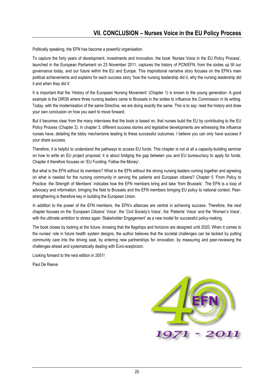Politically speaking, the EFN has become a powerful organisation.

To capture the forty years of development, investments and innovation, the book 'Nurses Voice in the EU Policy Process', launched in the European Parliament on 23 November 2011, captures the history of PCN/EFN, from the sixties up till our governance today, and our future within the EU and Europe. This inspirational narrative story focuses on the EFN's main political achievements and explains for each success story 'how the nursing leadership did it, why the nursing leadership did it and when they did it'.

It is important that the 'History of the European Nursing Movement' (Chapter 1) is known to the young generation. A good example is the DIR36 where three nursing leaders came to Brussels in the sixties to influence the Commission in its writing. Today, with the modernisation of the same Directive, we are doing exactly the same. This is to say: read the history and draw your own conclusion on how you want to move forward.

But it becomes clear from the many interviews that the book is based on, that nurses build the EU by contributing to the EU Policy Process (Chapter 2). In chapter 3, different success stories and legislative developments are witnessing the influence nurses have, detailing the lobby mechanisms leading to these successful outcomes. I believe you can only have success if your share success.

Therefore, it is helpful to understand the pathways to access EU funds. This chapter is not at all a capacity-building seminar on how to write an EU project proposal; it is about bridging the gap between you and EU bureaucracy to apply for funds. Chapter 4 therefore focuses on 'EU Funding: Follow the Money'.

But what is the EFN without its members? What is the EFN without the strong nursing leaders coming together and agreeing on what is needed for the nursing community in serving the patients and European citizens? Chapter 5 'From Policy to Practice: the Strength of Members' indicates how the EFN members bring and take 'from Brussels'. The EFN is a loop of advocacy and information, bringing the field to Brussels and the EFN members bringing EU policy to national context. Peerstrengthening is therefore key in building the European Union.

In addition to the power of the EFN members, the EFN's alliances are central in achieving success. Therefore, the next chapter focuses on the 'European Citizens' Voice', the 'Civil Society's Voice', the 'Patients' Voice' and the 'Women's Voice', with the ultimate ambition to stress again 'Stakeholder Engagement' as a new model for successful policy-making.

The book closes by looking at the future, knowing that the flagships and horizons are designed until 2020. When it comes to the nurses' role in future health system designs, the author believes that the societal challenges can be tackled by putting community care into the driving seat, by entering new partnerships for innovation, by measuring and peer-reviewing the challenges ahead and systematically dealing with Euro-scepticism.

Looking forward to the next edition in 2051!

Paul De Raeve